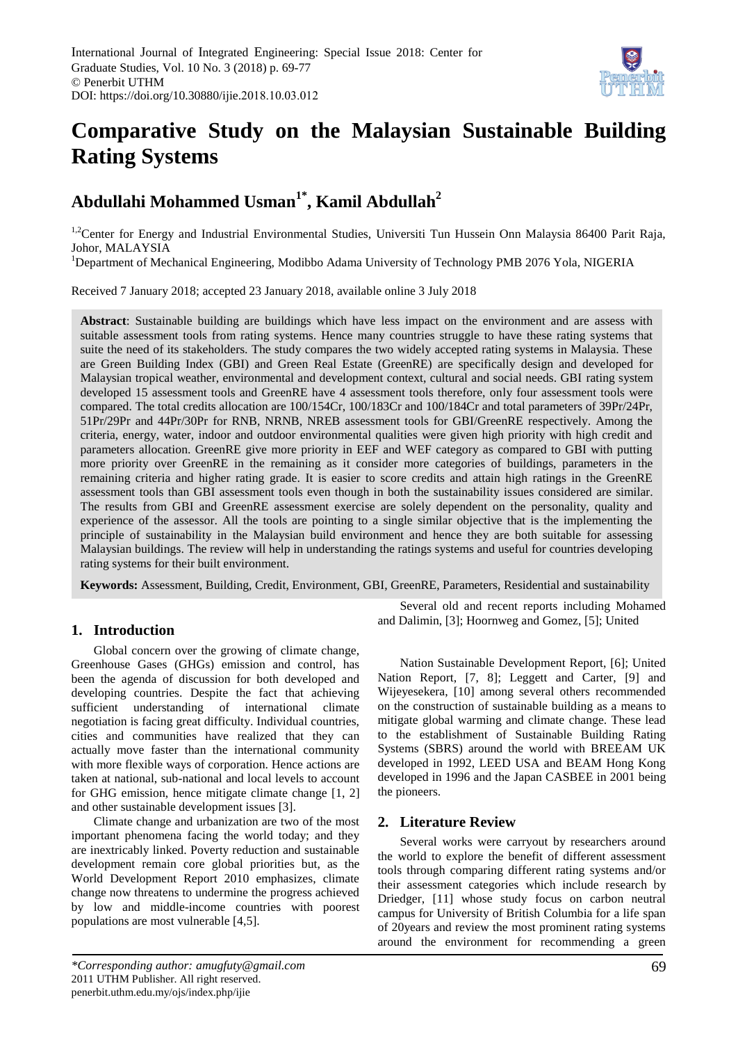

# **Comparative Study on the Malaysian Sustainable Building Rating Systems**

## **Abdullahi Mohammed Usman1\*, Kamil Abdullah<sup>2</sup>**

<sup>1,2</sup>Center for Energy and Industrial Environmental Studies, Universiti Tun Hussein Onn Malaysia 86400 Parit Raja, Johor, MALAYSIA

<sup>1</sup>Department of Mechanical Engineering, Modibbo Adama University of Technology PMB 2076 Yola, NIGERIA

Received 7 January 2018; accepted 23 January 2018, available online 3 July 2018

**Abstract**: Sustainable building are buildings which have less impact on the environment and are assess with suitable assessment tools from rating systems. Hence many countries struggle to have these rating systems that suite the need of its stakeholders. The study compares the two widely accepted rating systems in Malaysia. These are Green Building Index (GBI) and Green Real Estate (GreenRE) are specifically design and developed for Malaysian tropical weather, environmental and development context, cultural and social needs. GBI rating system developed 15 assessment tools and GreenRE have 4 assessment tools therefore, only four assessment tools were compared. The total credits allocation are 100/154Cr, 100/183Cr and 100/184Cr and total parameters of 39Pr/24Pr, 51Pr/29Pr and 44Pr/30Pr for RNB, NRNB, NREB assessment tools for GBI/GreenRE respectively. Among the criteria, energy, water, indoor and outdoor environmental qualities were given high priority with high credit and parameters allocation. GreenRE give more priority in EEF and WEF category as compared to GBI with putting more priority over GreenRE in the remaining as it consider more categories of buildings, parameters in the remaining criteria and higher rating grade. It is easier to score credits and attain high ratings in the GreenRE assessment tools than GBI assessment tools even though in both the sustainability issues considered are similar. The results from GBI and GreenRE assessment exercise are solely dependent on the personality, quality and experience of the assessor. All the tools are pointing to a single similar objective that is the implementing the principle of sustainability in the Malaysian build environment and hence they are both suitable for assessing Malaysian buildings. The review will help in understanding the ratings systems and useful for countries developing rating systems for their built environment.

**Keywords:** Assessment, Building, Credit, Environment, GBI, GreenRE, Parameters, Residential and sustainability

#### **1. Introduction**

Global concern over the growing of climate change, Greenhouse Gases (GHGs) emission and control, has been the agenda of discussion for both developed and developing countries. Despite the fact that achieving sufficient understanding of international climate negotiation is facing great difficulty. Individual countries, cities and communities have realized that they can actually move faster than the international community with more flexible ways of corporation. Hence actions are taken at national, sub-national and local levels to account for GHG emission, hence mitigate climate change [1, 2] and other sustainable development issues [3].

Climate change and urbanization are two of the most important phenomena facing the world today; and they are inextricably linked. Poverty reduction and sustainable development remain core global priorities but, as the World Development Report 2010 emphasizes, climate change now threatens to undermine the progress achieved by low and middle-income countries with poorest populations are most vulnerable [4,5].

Several old and recent reports including Mohamed and Dalimin, [3]; Hoornweg and Gomez, [5]; United

Nation Sustainable Development Report, [6]; United Nation Report, [7, 8]; Leggett and Carter, [9] and Wijeyesekera, [10] among several others recommended on the construction of sustainable building as a means to mitigate global warming and climate change. These lead to the establishment of Sustainable Building Rating Systems (SBRS) around the world with BREEAM UK developed in 1992, LEED USA and BEAM Hong Kong developed in 1996 and the Japan CASBEE in 2001 being the pioneers.

### **2. Literature Review**

Several works were carryout by researchers around the world to explore the benefit of different assessment tools through comparing different rating systems and/or their assessment categories which include research by Driedger, [11] whose study focus on carbon neutral campus for University of British Columbia for a life span of 20years and review the most prominent rating systems around the environment for recommending a green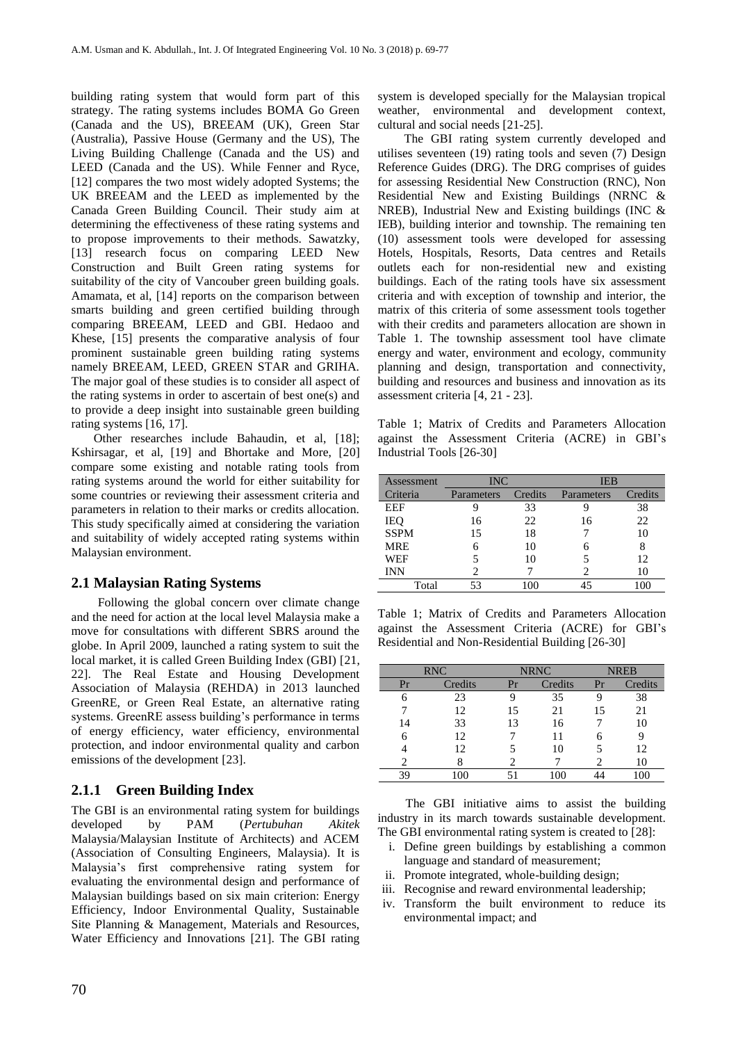building rating system that would form part of this strategy. The rating systems includes BOMA Go Green (Canada and the US), BREEAM (UK), Green Star (Australia), Passive House (Germany and the US), The Living Building Challenge (Canada and the US) and LEED (Canada and the US). While Fenner and Ryce, [12] compares the two most widely adopted Systems; the UK BREEAM and the LEED as implemented by the Canada Green Building Council. Their study aim at determining the effectiveness of these rating systems and to propose improvements to their methods. Sawatzky, [13] research focus on comparing LEED New Construction and Built Green rating systems for suitability of the city of Vancouber green building goals. Amamata, et al, [14] reports on the comparison between smarts building and green certified building through comparing BREEAM, LEED and GBI. Hedaoo and Khese, [15] presents the comparative analysis of four prominent sustainable green building rating systems namely BREEAM, LEED, GREEN STAR and GRIHA. The major goal of these studies is to consider all aspect of the rating systems in order to ascertain of best one(s) and to provide a deep insight into sustainable green building rating systems [16, 17].

Other researches include Bahaudin, et al, [18]; Kshirsagar, et al, [19] and Bhortake and More, [20] compare some existing and notable rating tools from rating systems around the world for either suitability for some countries or reviewing their assessment criteria and parameters in relation to their marks or credits allocation. This study specifically aimed at considering the variation and suitability of widely accepted rating systems within Malaysian environment.

#### **2.1 Malaysian Rating Systems**

Following the global concern over climate change and the need for action at the local level Malaysia make a move for consultations with different SBRS around the globe. In April 2009, launched a rating system to suit the local market, it is called Green Building Index (GBI) [21, 22]. The Real Estate and Housing Development Association of Malaysia (REHDA) in 2013 launched GreenRE, or Green Real Estate, an alternative rating systems. GreenRE assess building's performance in terms of energy efficiency, water efficiency, environmental protection, and indoor environmental quality and carbon emissions of the development [23].

#### **2.1.1 Green Building Index**

The GBI is an environmental rating system for buildings developed by PAM (*Pertubuhan Akitek* Malaysia/Malaysian Institute of Architects) and ACEM (Association of Consulting Engineers, Malaysia). It is Malaysia's first comprehensive rating system for evaluating the environmental design and performance of Malaysian buildings based on six main criterion: Energy Efficiency, Indoor Environmental Quality, Sustainable Site Planning & Management, Materials and Resources, Water Efficiency and Innovations [21]. The GBI rating

system is developed specially for the Malaysian tropical weather, environmental and development context, cultural and social needs [21-25].

The GBI rating system currently developed and utilises seventeen (19) rating tools and seven (7) Design Reference Guides (DRG). The DRG comprises of guides for assessing Residential New Construction (RNC), Non Residential New and Existing Buildings (NRNC & NREB), Industrial New and Existing buildings (INC & IEB), building interior and township. The remaining ten (10) assessment tools were developed for assessing Hotels, Hospitals, Resorts, Data centres and Retails outlets each for non-residential new and existing buildings. Each of the rating tools have six assessment criteria and with exception of township and interior, the matrix of this criteria of some assessment tools together with their credits and parameters allocation are shown in Table 1. The township assessment tool have climate energy and water, environment and ecology, community planning and design, transportation and connectivity, building and resources and business and innovation as its assessment criteria [4, 21 - 23].

Table 1; Matrix of Credits and Parameters Allocation against the Assessment Criteria (ACRE) in GBI's Industrial Tools [26-30]

| Assessment  | <b>INC</b> |         | <b>IEB</b> |         |  |
|-------------|------------|---------|------------|---------|--|
| Criteria    | Parameters | Credits | Parameters | Credits |  |
| <b>EEF</b>  |            | 33      |            | 38      |  |
| IEQ         | 16         | 22      | 16         | 22      |  |
| <b>SSPM</b> | 15         | 18      |            | 10      |  |
| <b>MRE</b>  |            | 10      |            | 8       |  |
| <b>WEF</b>  |            |         |            | 12      |  |
| <b>INN</b>  |            |         |            | 10      |  |
| Total       |            | 100     |            |         |  |

Table 1; Matrix of Credits and Parameters Allocation against the Assessment Criteria (ACRE) for GBI's Residential and Non-Residential Building [26-30]

|    | <b>RNC</b> |    | <b>NRNC</b> |    | <b>NREB</b> |
|----|------------|----|-------------|----|-------------|
| Pr | Credits    | Pr | Credits     | Pr | Credits     |
| 6  | 23         | 9  | 35          |    | 38          |
|    | 12         | 15 | 21          | 15 | 21          |
| 14 | 33         | 13 | 16          |    | 10          |
| 6  | 12         |    | 11          |    | 9           |
|    | 12         |    | 10          |    | 12          |
| 2  |            | 2  |             |    | 10          |
| 39 | 100        |    |             |    | 100         |

The GBI initiative aims to assist the building industry in its march towards sustainable development. The GBI environmental rating system is created to [28]:

- i. Define green buildings by establishing a common language and standard of measurement;
- ii. Promote integrated, whole-building design;
- iii. Recognise and reward environmental leadership;
- iv. Transform the built environment to reduce its environmental impact; and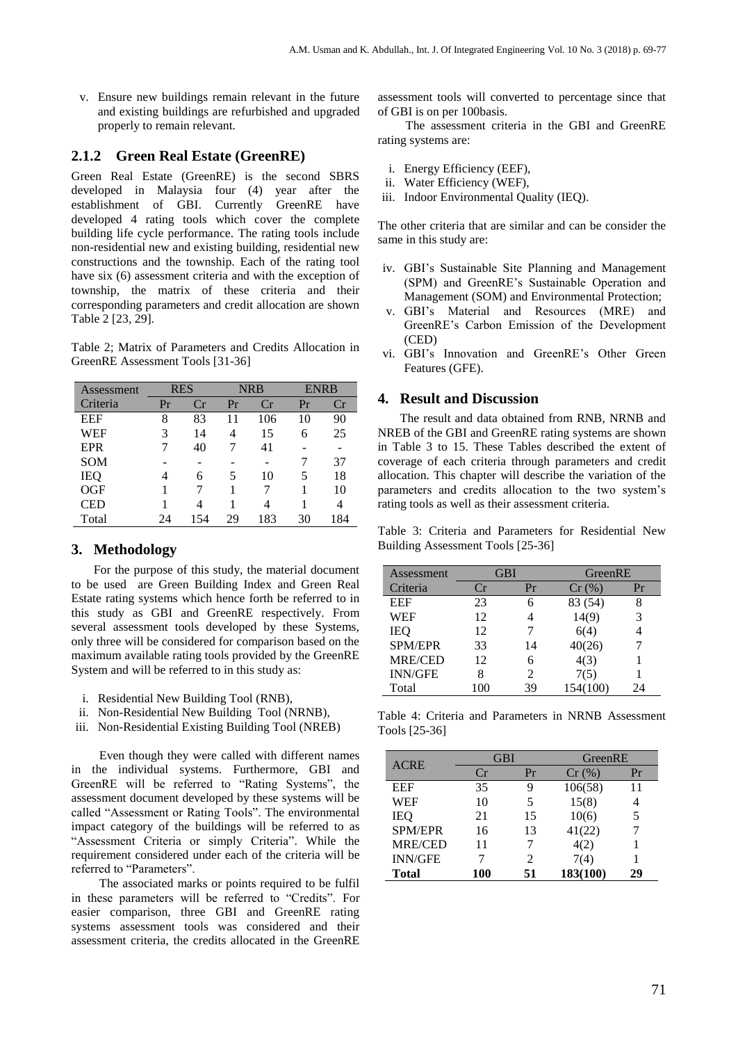v. Ensure new buildings remain relevant in the future and existing buildings are refurbished and upgraded properly to remain relevant.

#### **2.1.2 Green Real Estate (GreenRE)**

Green Real Estate (GreenRE) is the second SBRS developed in Malaysia four (4) year after the establishment of GBI. Currently GreenRE have developed 4 rating tools which cover the complete building life cycle performance. The rating tools include non-residential new and existing building, residential new constructions and the township. Each of the rating tool have six (6) assessment criteria and with the exception of township, the matrix of these criteria and their corresponding parameters and credit allocation are shown Table 2 [23, 29].

Table 2; Matrix of Parameters and Credits Allocation in GreenRE Assessment Tools [31-36]

| Assessment |    | <b>RES</b><br>NRB<br><b>ENRB</b> |    |     |    |     |
|------------|----|----------------------------------|----|-----|----|-----|
| Criteria   | Pr | Сr                               | Pr | Cr  | Pr | Cr  |
| <b>EEF</b> | 8  | 83                               | 11 | 106 | 10 | 90  |
| WEF        | 3  | 14                               | 4  | 15  | 6  | 25  |
| <b>EPR</b> |    | 40                               |    | 41  |    |     |
| <b>SOM</b> |    |                                  |    |     |    | 37  |
| <b>IEQ</b> | 4  | 6                                | 5  | 10  | 5  | 18  |
| OGF        |    |                                  |    |     |    | 10  |
| <b>CED</b> |    | 4                                |    | 4   |    | 4   |
| Total      | 24 | 154                              | 29 | 183 | 30 | 184 |

### **3. Methodology**

For the purpose of this study, the material document to be used are Green Building Index and Green Real Estate rating systems which hence forth be referred to in this study as GBI and GreenRE respectively. From several assessment tools developed by these Systems, only three will be considered for comparison based on the maximum available rating tools provided by the GreenRE System and will be referred to in this study as:

- i. Residential New Building Tool (RNB),
- ii. Non-Residential New Building Tool (NRNB),
- iii. Non-Residential Existing Building Tool (NREB)

Even though they were called with different names in the individual systems. Furthermore, GBI and GreenRE will be referred to "Rating Systems", the assessment document developed by these systems will be called "Assessment or Rating Tools". The environmental impact category of the buildings will be referred to as "Assessment Criteria or simply Criteria". While the requirement considered under each of the criteria will be referred to "Parameters".

The associated marks or points required to be fulfil in these parameters will be referred to "Credits". For easier comparison, three GBI and GreenRE rating systems assessment tools was considered and their assessment criteria, the credits allocated in the GreenRE

assessment tools will converted to percentage since that of GBI is on per 100basis.

The assessment criteria in the GBI and GreenRE rating systems are:

- i. Energy Efficiency (EEF),
- ii. Water Efficiency (WEF),
- iii. Indoor Environmental Quality (IEQ).

The other criteria that are similar and can be consider the same in this study are:

- iv. GBI's Sustainable Site Planning and Management (SPM) and GreenRE's Sustainable Operation and Management (SOM) and Environmental Protection;
- v. GBI's Material and Resources (MRE) and GreenRE's Carbon Emission of the Development (CED)
- vi. GBI's Innovation and GreenRE's Other Green Features (GFE).

#### **4. Result and Discussion**

The result and data obtained from RNB, NRNB and NREB of the GBI and GreenRE rating systems are shown in Table 3 to 15. These Tables described the extent of coverage of each criteria through parameters and credit allocation. This chapter will describe the variation of the parameters and credits allocation to the two system's rating tools as well as their assessment criteria.

Table 3: Criteria and Parameters for Residential New Building Assessment Tools [25-36]

| Assessment     | GBI |                             | GreenRE  |    |
|----------------|-----|-----------------------------|----------|----|
| Criteria       | Сr  | Pr                          | Cr(%)    | Pr |
| <b>EEF</b>     | 23  | 6                           | 83 (54)  | 8  |
| <b>WEF</b>     | 12  |                             | 14(9)    | 3  |
| IEO            | 12  |                             | 6(4)     |    |
| SPM/EPR        | 33  | 14                          | 40(26)   |    |
| <b>MRE/CED</b> | 12  | 6                           | 4(3)     |    |
| <b>INN/GFE</b> | 8   | $\mathcal{D}_{\mathcal{L}}$ | 7(5)     |    |
| Total          | 100 | 39                          | 154(100) | 24 |

Table 4: Criteria and Parameters in NRNB Assessment Tools [25-36]

| <b>ACRE</b>    | <b>GBI</b> |    | GreenRE  |    |
|----------------|------------|----|----------|----|
|                | Cr         | Pr | Cr(%)    | Pr |
| <b>EEF</b>     | 35         | 9  | 106(58)  | 11 |
| WEF            | 10         |    | 15(8)    |    |
| <b>IEO</b>     | 21         | 15 | 10(6)    | 5  |
| <b>SPM/EPR</b> | 16         | 13 | 41(22)   |    |
| <b>MRE/CED</b> | 11         |    | 4(2)     |    |
| <b>INN/GFE</b> |            | 2  | 7(4)     |    |
| <b>Total</b>   | 100        | 51 | 183(100) | 29 |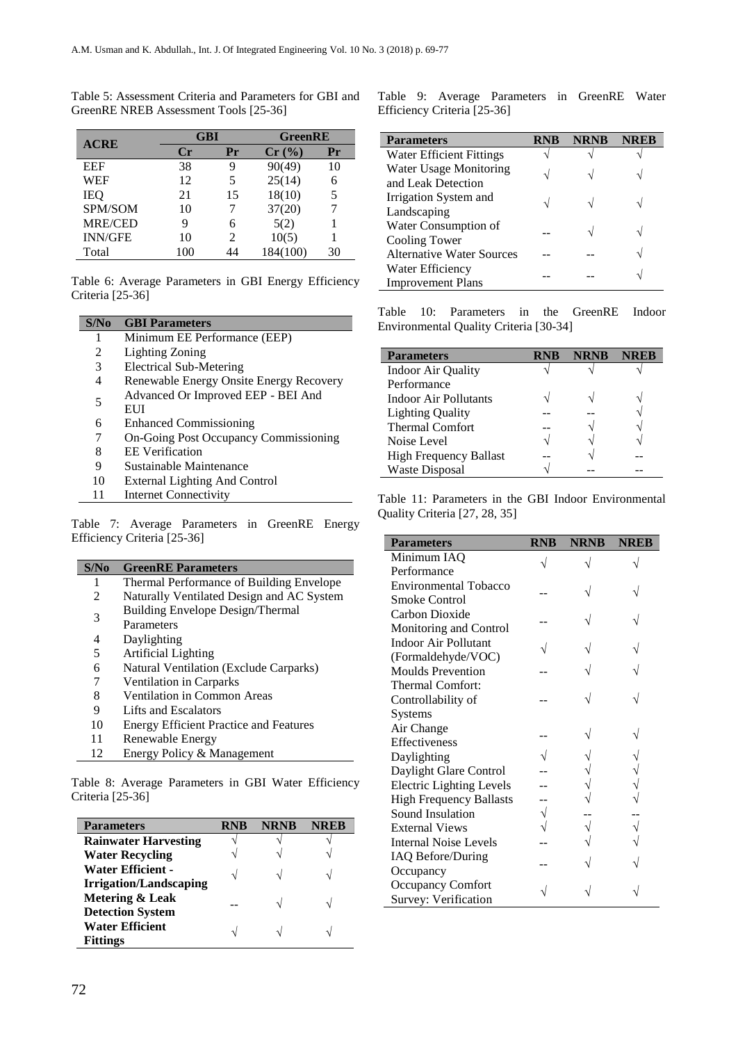Table 5: Assessment Criteria and Parameters for GBI and GreenRE NREB Assessment Tools [25-36]

| <b>ACRE</b>    |                | <b>GBI</b>     |          | <b>GreenRE</b> |
|----------------|----------------|----------------|----------|----------------|
|                | $\mathbf{C}$ r | Pr             | Cr(%)    | Pr             |
| <b>EEF</b>     | 38             | 9              | 90(49)   | 10             |
| <b>WEF</b>     | 12             | 5              | 25(14)   |                |
| <b>IEQ</b>     | 21             | 15             | 18(10)   | 5              |
| SPM/SOM        | 10             |                | 37(20)   |                |
| <b>MRE/CED</b> | 9              | 6              | 5(2)     |                |
| <b>INN/GFE</b> | 10             | $\mathfrak{D}$ | 10(5)    |                |
| Total          | 100            | 14             | 184(100) | 30             |

Table 6: Average Parameters in GBI Energy Efficiency Criteria [25-36]

#### **S/No GBI Parameters**

- 1 Minimum EE Performance (EEP)
- 2 Lighting Zoning
- 
- 3 Electrical Sub-Metering<br>4 Renewable Energy Onsi Renewable Energy Onsite Energy Recovery
- 5 Advanced Or Improved EEP - BEI And
- EUI
- 6 Enhanced Commissioning
- 7 On-Going Post Occupancy Commissioning
- 8 EE Verification
- 9 Sustainable Maintenance<br>10 External Lighting And Co
- External Lighting And Control
- 11 Internet Connectivity

Table 7: Average Parameters in GreenRE Energy Efficiency Criteria [25-36]

| S/N <sub>0</sub>            | <b>GreenRE Parameters</b>                     |
|-----------------------------|-----------------------------------------------|
| 1                           | Thermal Performance of Building Envelope      |
| $\mathcal{D}_{\mathcal{L}}$ | Naturally Ventilated Design and AC System     |
| 3                           | <b>Building Envelope Design/Thermal</b>       |
|                             | Parameters                                    |
| 4                           | Daylighting                                   |
| 5                           | <b>Artificial Lighting</b>                    |
| 6                           | Natural Ventilation (Exclude Carparks)        |
| 7                           | Ventilation in Carparks                       |
| 8                           | Ventilation in Common Areas                   |
| 9                           | Lifts and Escalators                          |
| 10                          | <b>Energy Efficient Practice and Features</b> |
| 11                          | Renewable Energy                              |
| 12                          | Energy Policy & Management                    |

Table 8: Average Parameters in GBI Water Efficiency Criteria [25-36]

| <b>Parameters</b>             | RNB | <b>NRNB</b> | NREB |
|-------------------------------|-----|-------------|------|
| <b>Rainwater Harvesting</b>   |     |             |      |
| <b>Water Recycling</b>        |     |             |      |
| <b>Water Efficient -</b>      | ٦Ι  |             |      |
| <b>Irrigation/Landscaping</b> |     |             |      |
| <b>Metering &amp; Leak</b>    |     |             |      |
| <b>Detection System</b>       |     |             |      |
| <b>Water Efficient</b>        |     |             |      |
| <b>Fittings</b>               |     |             |      |

Table 9: Average Parameters in GreenRE Water Efficiency Criteria [25-36]

| <b>Parameters</b>                | <b>NRNB</b> | <b>NREB</b> |
|----------------------------------|-------------|-------------|
| <b>Water Efficient Fittings</b>  |             |             |
| Water Usage Monitoring           |             |             |
| and Leak Detection               |             |             |
| Irrigation System and            |             |             |
| Landscaping                      |             |             |
| Water Consumption of             |             |             |
| Cooling Tower                    |             |             |
| <b>Alternative Water Sources</b> |             |             |
| Water Efficiency                 |             |             |
| <b>Improvement Plans</b>         |             |             |

Table 10: Parameters in the GreenRE Indoor Environmental Quality Criteria [30-34]

| <b>Parameters</b>             | <b>NRNB</b> |  |
|-------------------------------|-------------|--|
| <b>Indoor Air Quality</b>     |             |  |
| Performance                   |             |  |
| <b>Indoor Air Pollutants</b>  |             |  |
| <b>Lighting Quality</b>       |             |  |
| <b>Thermal Comfort</b>        |             |  |
| Noise Level                   |             |  |
| <b>High Frequency Ballast</b> |             |  |
| <b>Waste Disposal</b>         |             |  |

Table 11: Parameters in the GBI Indoor Environmental Quality Criteria [27, 28, 35]

| <b>Parameters</b>               | <b>RNB</b> | <b>NRNB</b> | <b>NREB</b> |
|---------------------------------|------------|-------------|-------------|
| Minimum IAQ                     |            |             |             |
| Performance                     |            |             |             |
| <b>Environmental Tobacco</b>    |            |             |             |
| <b>Smoke Control</b>            |            |             |             |
| Carbon Dioxide                  |            |             |             |
| Monitoring and Control          |            |             |             |
| <b>Indoor Air Pollutant</b>     |            |             |             |
| (Formaldehyde/VOC)              |            |             |             |
| <b>Moulds Prevention</b>        |            |             |             |
| Thermal Comfort:                |            |             |             |
| Controllability of              |            |             |             |
| Systems                         |            |             |             |
| Air Change                      |            |             |             |
| Effectiveness                   |            |             |             |
| Daylighting                     |            |             |             |
| Daylight Glare Control          |            |             |             |
| <b>Electric Lighting Levels</b> |            |             |             |
| <b>High Frequency Ballasts</b>  |            |             |             |
| Sound Insulation                |            |             |             |
| <b>External Views</b>           |            |             |             |
| <b>Internal Noise Levels</b>    |            |             |             |
| <b>IAQ Before/During</b>        |            |             |             |
| Occupancy                       |            |             |             |
| <b>Occupancy Comfort</b>        |            |             |             |
| Survey: Verification            |            |             |             |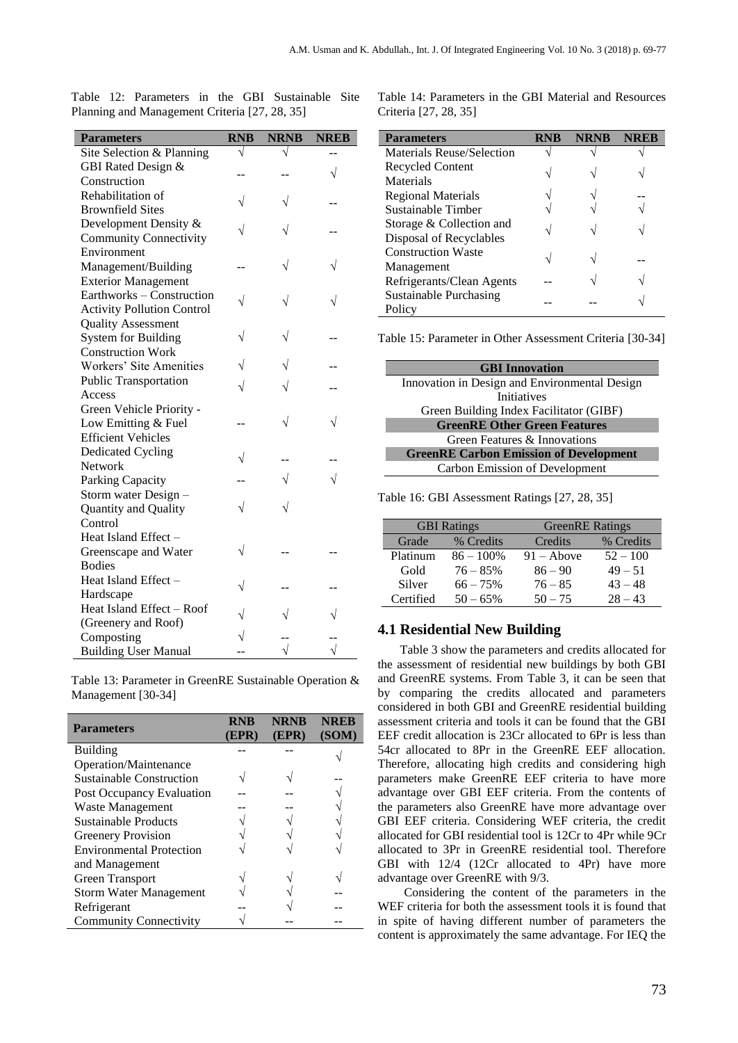| <b>Parameters</b>                 | <b>RNB</b> | <b>NRNB</b> | <b>NREB</b> |
|-----------------------------------|------------|-------------|-------------|
| Site Selection & Planning         |            |             |             |
| GBI Rated Design &                |            |             |             |
| Construction                      |            |             |             |
| Rehabilitation of                 |            |             |             |
| <b>Brownfield Sites</b>           |            |             |             |
| Development Density &             |            |             |             |
| <b>Community Connectivity</b>     |            |             |             |
| Environment                       |            |             |             |
| Management/Building               |            |             |             |
| <b>Exterior Management</b>        |            |             |             |
| Earthworks - Construction         |            |             |             |
| <b>Activity Pollution Control</b> |            |             |             |
| <b>Quality Assessment</b>         |            |             |             |
| <b>System for Building</b>        | V          |             |             |
| <b>Construction Work</b>          |            |             |             |
| <b>Workers' Site Amenities</b>    |            |             |             |
| <b>Public Transportation</b>      |            |             |             |
| Access                            |            |             |             |
| Green Vehicle Priority -          |            |             |             |
| Low Emitting & Fuel               |            |             |             |
| <b>Efficient Vehicles</b>         |            |             |             |
| <b>Dedicated Cycling</b>          |            |             |             |
| <b>Network</b>                    |            |             |             |
| Parking Capacity                  |            |             |             |
| Storm water Design -              |            |             |             |
| Quantity and Quality              |            |             |             |
| Control                           |            |             |             |
| Heat Island Effect -              |            |             |             |
| Greenscape and Water              |            |             |             |
| <b>Bodies</b>                     |            |             |             |
| Heat Island Effect -              |            |             |             |
| Hardscape                         |            |             |             |
| Heat Island Effect - Roof         |            |             |             |
| (Greenery and Roof)               |            |             |             |
| Composting                        |            |             |             |
| <b>Building User Manual</b>       |            |             |             |

Table 12: Parameters in the GBI Sustainable Site Planning and Management Criteria [27, 28, 35]

Table 14: Parameters in the GBI Material and Resources Criteria [27, 28, 35]

| <b>Parameters</b>             |  |  |
|-------------------------------|--|--|
| Materials Reuse/Selection     |  |  |
| Recycled Content              |  |  |
| Materials                     |  |  |
| Regional Materials            |  |  |
| Sustainable Timber            |  |  |
| Storage & Collection and      |  |  |
| Disposal of Recyclables       |  |  |
| <b>Construction Waste</b>     |  |  |
| Management                    |  |  |
| Refrigerants/Clean Agents     |  |  |
| <b>Sustainable Purchasing</b> |  |  |
| Policy                        |  |  |

Table 15: Parameter in Other Assessment Criteria [30-34]

| <b>GBI</b> Innovation                         |  |  |
|-----------------------------------------------|--|--|
| Innovation in Design and Environmental Design |  |  |
| <b>Initiatives</b>                            |  |  |
| Green Building Index Facilitator (GIBF)       |  |  |
| <b>GreenRE Other Green Features</b>           |  |  |
| Green Features & Innovations                  |  |  |
| <b>GreenRE Carbon Emission of Development</b> |  |  |
| <b>Carbon Emission of Development</b>         |  |  |

Table 16: GBI Assessment Ratings [27, 28, 35]

| <b>GBI</b> Ratings |              | <b>GreenRE</b> Ratings |            |
|--------------------|--------------|------------------------|------------|
| Grade              | % Credits    | Credits                | % Credits  |
| Platinum           | $86 - 100\%$ | $91 -$ Above           | $52 - 100$ |
| Gold               | $76 - 85%$   | $86 - 90$              | $49 - 51$  |
| Silver             | $66 - 75%$   | $76 - 85$              | $43 - 48$  |
| Certified          | $50 - 65\%$  | $50 - 75$              | $28 - 43$  |

#### **4.1 Residential New Building**

Table 3 show the parameters and credits allocated for the assessment of residential new buildings by both GBI and GreenRE systems. From Table 3, it can be seen that by comparing the credits allocated and parameters considered in both GBI and GreenRE residential building assessment criteria and tools it can be found that the GBI EEF credit allocation is 23Cr allocated to 6Pr is less than 54cr allocated to 8Pr in the GreenRE EEF allocation. Therefore, allocating high credits and considering high parameters make GreenRE EEF criteria to have more advantage over GBI EEF criteria. From the contents of the parameters also GreenRE have more advantage over GBI EEF criteria. Considering WEF criteria, the credit allocated for GBI residential tool is 12Cr to 4Pr while 9Cr allocated to 3Pr in GreenRE residential tool. Therefore GBI with 12/4 (12Cr allocated to 4Pr) have more advantage over GreenRE with 9/3.

Considering the content of the parameters in the WEF criteria for both the assessment tools it is found that in spite of having different number of parameters the content is approximately the same advantage. For IEQ the

Table 13: Parameter in GreenRE Sustainable Operation & Management [30-34]

| <b>Parameters</b>               | <b>RNB</b><br>(EPR) | NRNB<br>(EPR) | NREB<br>(SOM) |
|---------------------------------|---------------------|---------------|---------------|
| Building                        |                     |               |               |
| Operation/Maintenance           |                     |               |               |
| <b>Sustainable Construction</b> |                     |               |               |
| Post Occupancy Evaluation       |                     |               |               |
| Waste Management                |                     |               |               |
| <b>Sustainable Products</b>     |                     |               |               |
| <b>Greenery Provision</b>       |                     |               |               |
| <b>Environmental Protection</b> |                     |               |               |
| and Management                  |                     |               |               |
| Green Transport                 |                     |               |               |
| <b>Storm Water Management</b>   |                     |               |               |
| Refrigerant                     |                     |               |               |
| <b>Community Connectivity</b>   |                     |               |               |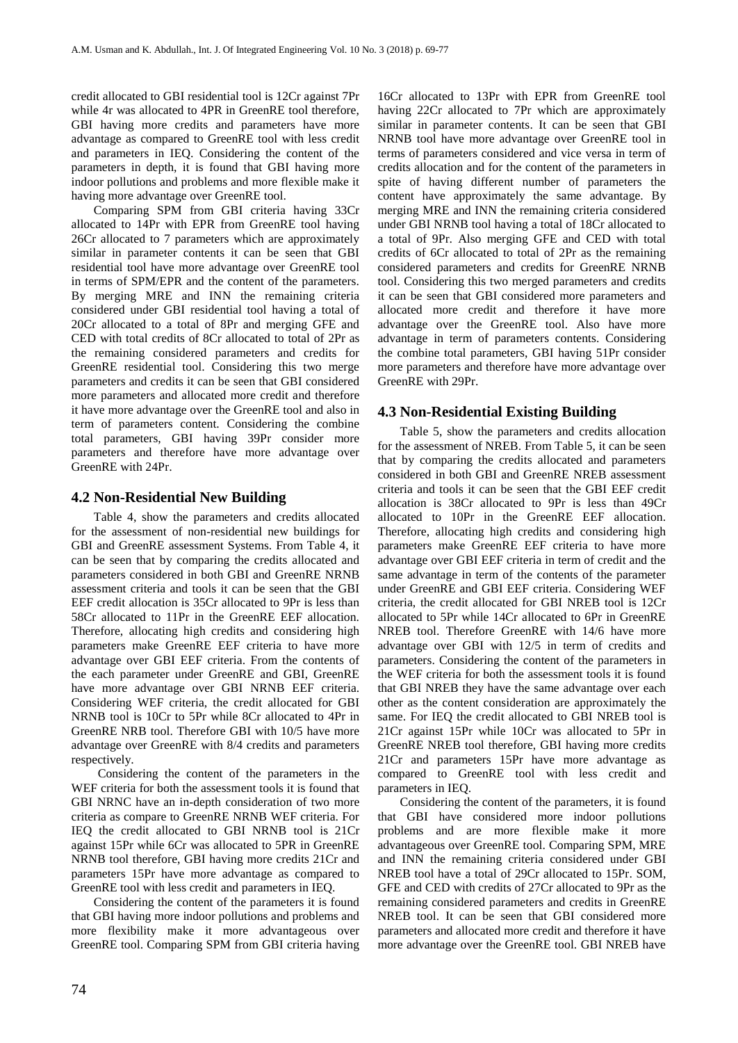credit allocated to GBI residential tool is 12Cr against 7Pr while 4r was allocated to 4PR in GreenRE tool therefore, GBI having more credits and parameters have more advantage as compared to GreenRE tool with less credit and parameters in IEQ. Considering the content of the parameters in depth, it is found that GBI having more indoor pollutions and problems and more flexible make it having more advantage over GreenRE tool.

Comparing SPM from GBI criteria having 33Cr allocated to 14Pr with EPR from GreenRE tool having 26Cr allocated to 7 parameters which are approximately similar in parameter contents it can be seen that GBI residential tool have more advantage over GreenRE tool in terms of SPM/EPR and the content of the parameters. By merging MRE and INN the remaining criteria considered under GBI residential tool having a total of 20Cr allocated to a total of 8Pr and merging GFE and CED with total credits of 8Cr allocated to total of 2Pr as the remaining considered parameters and credits for GreenRE residential tool. Considering this two merge parameters and credits it can be seen that GBI considered more parameters and allocated more credit and therefore it have more advantage over the GreenRE tool and also in term of parameters content. Considering the combine total parameters, GBI having 39Pr consider more parameters and therefore have more advantage over GreenRE with 24Pr.

#### **4.2 Non-Residential New Building**

Table 4, show the parameters and credits allocated for the assessment of non-residential new buildings for GBI and GreenRE assessment Systems. From Table 4, it can be seen that by comparing the credits allocated and parameters considered in both GBI and GreenRE NRNB assessment criteria and tools it can be seen that the GBI EEF credit allocation is 35Cr allocated to 9Pr is less than 58Cr allocated to 11Pr in the GreenRE EEF allocation. Therefore, allocating high credits and considering high parameters make GreenRE EEF criteria to have more advantage over GBI EEF criteria. From the contents of the each parameter under GreenRE and GBI, GreenRE have more advantage over GBI NRNB EEF criteria. Considering WEF criteria, the credit allocated for GBI NRNB tool is 10Cr to 5Pr while 8Cr allocated to 4Pr in GreenRE NRB tool. Therefore GBI with 10/5 have more advantage over GreenRE with 8/4 credits and parameters respectively.

Considering the content of the parameters in the WEF criteria for both the assessment tools it is found that GBI NRNC have an in-depth consideration of two more criteria as compare to GreenRE NRNB WEF criteria. For IEQ the credit allocated to GBI NRNB tool is 21Cr against 15Pr while 6Cr was allocated to 5PR in GreenRE NRNB tool therefore, GBI having more credits 21Cr and parameters 15Pr have more advantage as compared to GreenRE tool with less credit and parameters in IEQ.

Considering the content of the parameters it is found that GBI having more indoor pollutions and problems and more flexibility make it more advantageous over GreenRE tool. Comparing SPM from GBI criteria having

16Cr allocated to 13Pr with EPR from GreenRE tool having 22Cr allocated to 7Pr which are approximately similar in parameter contents. It can be seen that GBI NRNB tool have more advantage over GreenRE tool in terms of parameters considered and vice versa in term of credits allocation and for the content of the parameters in spite of having different number of parameters the content have approximately the same advantage. By merging MRE and INN the remaining criteria considered under GBI NRNB tool having a total of 18Cr allocated to a total of 9Pr. Also merging GFE and CED with total credits of 6Cr allocated to total of 2Pr as the remaining considered parameters and credits for GreenRE NRNB tool. Considering this two merged parameters and credits it can be seen that GBI considered more parameters and allocated more credit and therefore it have more advantage over the GreenRE tool. Also have more advantage in term of parameters contents. Considering the combine total parameters, GBI having 51Pr consider more parameters and therefore have more advantage over GreenRE with 29Pr.

#### **4.3 Non-Residential Existing Building**

Table 5, show the parameters and credits allocation for the assessment of NREB. From Table 5, it can be seen that by comparing the credits allocated and parameters considered in both GBI and GreenRE NREB assessment criteria and tools it can be seen that the GBI EEF credit allocation is 38Cr allocated to 9Pr is less than 49Cr allocated to 10Pr in the GreenRE EEF allocation. Therefore, allocating high credits and considering high parameters make GreenRE EEF criteria to have more advantage over GBI EEF criteria in term of credit and the same advantage in term of the contents of the parameter under GreenRE and GBI EEF criteria. Considering WEF criteria, the credit allocated for GBI NREB tool is 12Cr allocated to 5Pr while 14Cr allocated to 6Pr in GreenRE NREB tool. Therefore GreenRE with 14/6 have more advantage over GBI with 12/5 in term of credits and parameters. Considering the content of the parameters in the WEF criteria for both the assessment tools it is found that GBI NREB they have the same advantage over each other as the content consideration are approximately the same. For IEQ the credit allocated to GBI NREB tool is 21Cr against 15Pr while 10Cr was allocated to 5Pr in GreenRE NREB tool therefore, GBI having more credits 21Cr and parameters 15Pr have more advantage as compared to GreenRE tool with less credit and parameters in IEQ.

Considering the content of the parameters, it is found that GBI have considered more indoor pollutions problems and are more flexible make it more advantageous over GreenRE tool. Comparing SPM, MRE and INN the remaining criteria considered under GBI NREB tool have a total of 29Cr allocated to 15Pr. SOM, GFE and CED with credits of 27Cr allocated to 9Pr as the remaining considered parameters and credits in GreenRE NREB tool. It can be seen that GBI considered more parameters and allocated more credit and therefore it have more advantage over the GreenRE tool. GBI NREB have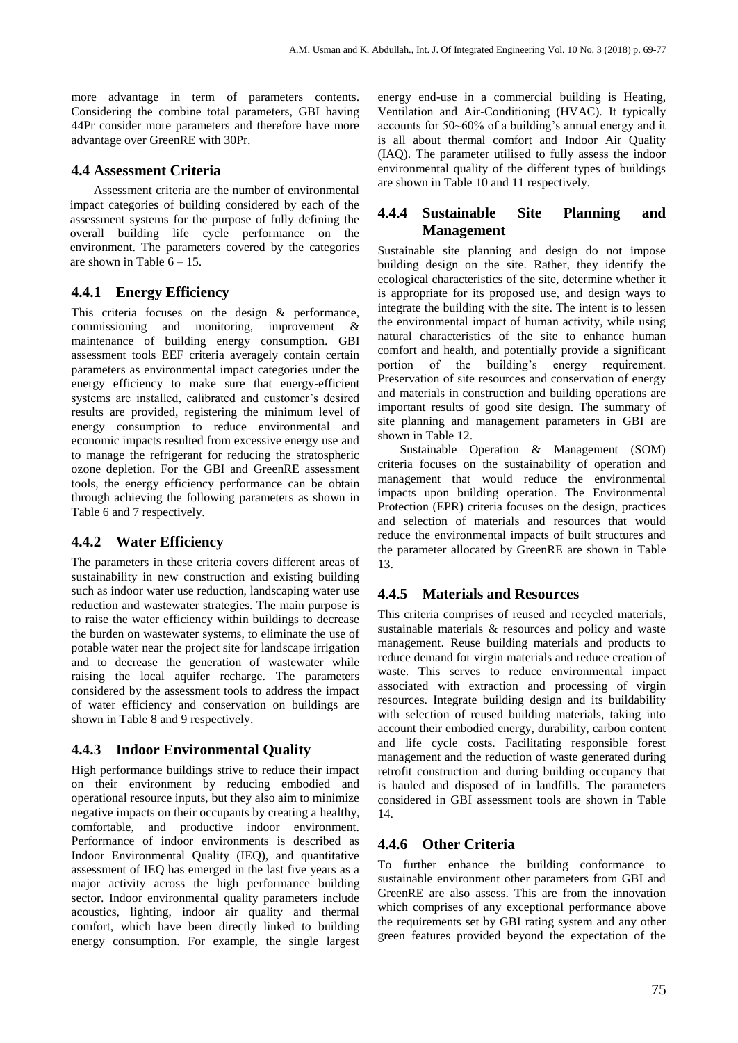more advantage in term of parameters contents. Considering the combine total parameters, GBI having 44Pr consider more parameters and therefore have more advantage over GreenRE with 30Pr.

#### **4.4 Assessment Criteria**

Assessment criteria are the number of environmental impact categories of building considered by each of the assessment systems for the purpose of fully defining the overall building life cycle performance on the environment. The parameters covered by the categories are shown in Table  $6 - 15$ .

#### **4.4.1 Energy Efficiency**

This criteria focuses on the design & performance, commissioning and monitoring, improvement & maintenance of building energy consumption. GBI assessment tools EEF criteria averagely contain certain parameters as environmental impact categories under the energy efficiency to make sure that energy-efficient systems are installed, calibrated and customer's desired results are provided, registering the minimum level of energy consumption to reduce environmental and economic impacts resulted from excessive energy use and to manage the refrigerant for reducing the stratospheric ozone depletion. For the GBI and GreenRE assessment tools, the energy efficiency performance can be obtain through achieving the following parameters as shown in Table 6 and 7 respectively.

#### **4.4.2 Water Efficiency**

The parameters in these criteria covers different areas of sustainability in new construction and existing building such as indoor water use reduction, landscaping water use reduction and wastewater strategies. The main purpose is to raise the water efficiency within buildings to decrease the burden on wastewater systems, to eliminate the use of potable water near the project site for landscape irrigation and to decrease the generation of wastewater while raising the local aquifer recharge. The parameters considered by the assessment tools to address the impact of water efficiency and conservation on buildings are shown in Table 8 and 9 respectively.

#### **4.4.3 Indoor Environmental Quality**

High performance buildings strive to reduce their impact on their environment by reducing embodied and operational resource inputs, but they also aim to minimize negative impacts on their occupants by creating a healthy, comfortable, and productive indoor environment. Performance of indoor environments is described as Indoor Environmental Quality (IEQ), and quantitative assessment of IEQ has emerged in the last five years as a major activity across the high performance building sector. Indoor environmental quality parameters include acoustics, lighting, indoor air quality and thermal comfort, which have been directly linked to building energy consumption. For example, the single largest energy end-use in a commercial building is Heating, Ventilation and Air-Conditioning (HVAC). It typically accounts for 50~60% of a building's annual energy and it is all about thermal comfort and Indoor Air Quality (IAQ). The parameter utilised to fully assess the indoor environmental quality of the different types of buildings are shown in Table 10 and 11 respectively.

#### **4.4.4 Sustainable Site Planning and Management**

Sustainable site planning and design do not impose building design on the site. Rather, they identify the ecological characteristics of the site, determine whether it is appropriate for its proposed use, and design ways to integrate the building with the site. The intent is to lessen the environmental impact of human activity, while using natural characteristics of the site to enhance human comfort and health, and potentially provide a significant portion of the building's energy requirement. Preservation of site resources and conservation of energy and materials in construction and building operations are important results of good site design. The summary of site planning and management parameters in GBI are shown in Table 12.

Sustainable Operation & Management (SOM) criteria focuses on the sustainability of operation and management that would reduce the environmental impacts upon building operation. The Environmental Protection (EPR) criteria focuses on the design, practices and selection of materials and resources that would reduce the environmental impacts of built structures and the parameter allocated by GreenRE are shown in Table 13.

#### **4.4.5 Materials and Resources**

This criteria comprises of reused and recycled materials, sustainable materials & resources and policy and waste management. Reuse building materials and products to reduce demand for virgin materials and reduce creation of waste. This serves to reduce environmental impact associated with extraction and processing of virgin resources. Integrate building design and its buildability with selection of reused building materials, taking into account their embodied energy, durability, carbon content and life cycle costs. Facilitating responsible forest management and the reduction of waste generated during retrofit construction and during building occupancy that is hauled and disposed of in landfills. The parameters considered in GBI assessment tools are shown in Table 14.

### **4.4.6 Other Criteria**

To further enhance the building conformance to sustainable environment other parameters from GBI and GreenRE are also assess. This are from the innovation which comprises of any exceptional performance above the requirements set by GBI rating system and any other green features provided beyond the expectation of the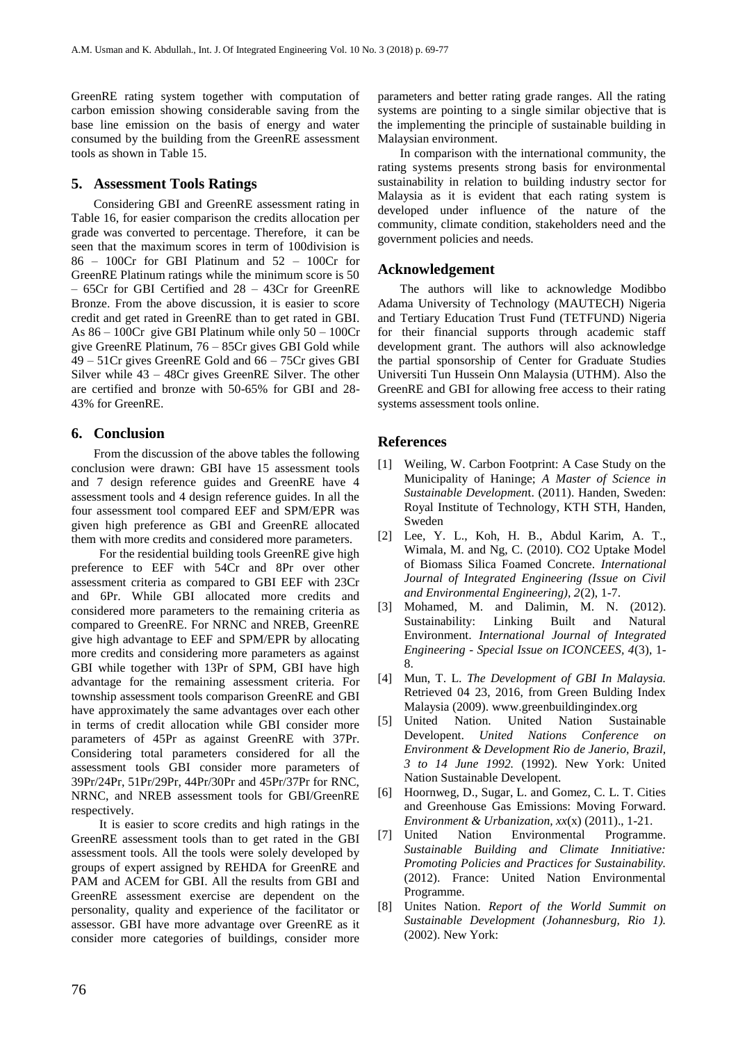GreenRE rating system together with computation of carbon emission showing considerable saving from the base line emission on the basis of energy and water consumed by the building from the GreenRE assessment tools as shown in Table 15.

#### **5. Assessment Tools Ratings**

Considering GBI and GreenRE assessment rating in Table 16, for easier comparison the credits allocation per grade was converted to percentage. Therefore, it can be seen that the maximum scores in term of 100division is 86 – 100Cr for GBI Platinum and 52 – 100Cr for GreenRE Platinum ratings while the minimum score is 50 – 65Cr for GBI Certified and 28 – 43Cr for GreenRE Bronze. From the above discussion, it is easier to score credit and get rated in GreenRE than to get rated in GBI. As 86 – 100Cr give GBI Platinum while only 50 – 100Cr give GreenRE Platinum, 76 – 85Cr gives GBI Gold while 49 – 51Cr gives GreenRE Gold and 66 – 75Cr gives GBI Silver while 43 – 48Cr gives GreenRE Silver. The other are certified and bronze with 50-65% for GBI and 28- 43% for GreenRE.

#### **6. Conclusion**

From the discussion of the above tables the following conclusion were drawn: GBI have 15 assessment tools and 7 design reference guides and GreenRE have 4 assessment tools and 4 design reference guides. In all the four assessment tool compared EEF and SPM/EPR was given high preference as GBI and GreenRE allocated them with more credits and considered more parameters.

For the residential building tools GreenRE give high preference to EEF with 54Cr and 8Pr over other assessment criteria as compared to GBI EEF with 23Cr and 6Pr. While GBI allocated more credits and considered more parameters to the remaining criteria as compared to GreenRE. For NRNC and NREB, GreenRE give high advantage to EEF and SPM/EPR by allocating more credits and considering more parameters as against GBI while together with 13Pr of SPM, GBI have high advantage for the remaining assessment criteria. For township assessment tools comparison GreenRE and GBI have approximately the same advantages over each other in terms of credit allocation while GBI consider more parameters of 45Pr as against GreenRE with 37Pr. Considering total parameters considered for all the assessment tools GBI consider more parameters of 39Pr/24Pr, 51Pr/29Pr, 44Pr/30Pr and 45Pr/37Pr for RNC, NRNC, and NREB assessment tools for GBI/GreenRE respectively.

It is easier to score credits and high ratings in the GreenRE assessment tools than to get rated in the GBI assessment tools. All the tools were solely developed by groups of expert assigned by REHDA for GreenRE and PAM and ACEM for GBI. All the results from GBI and GreenRE assessment exercise are dependent on the personality, quality and experience of the facilitator or assessor. GBI have more advantage over GreenRE as it consider more categories of buildings, consider more parameters and better rating grade ranges. All the rating systems are pointing to a single similar objective that is the implementing the principle of sustainable building in Malaysian environment.

In comparison with the international community, the rating systems presents strong basis for environmental sustainability in relation to building industry sector for Malaysia as it is evident that each rating system is developed under influence of the nature of the community, climate condition, stakeholders need and the government policies and needs.

#### **Acknowledgement**

The authors will like to acknowledge Modibbo Adama University of Technology (MAUTECH) Nigeria and Tertiary Education Trust Fund (TETFUND) Nigeria for their financial supports through academic staff development grant. The authors will also acknowledge the partial sponsorship of Center for Graduate Studies Universiti Tun Hussein Onn Malaysia (UTHM). Also the GreenRE and GBI for allowing free access to their rating systems assessment tools online.

#### **References**

- [1] Weiling, W. Carbon Footprint: A Case Study on the Municipality of Haninge; *A Master of Science in Sustainable Developmen*t. (2011). Handen, Sweden: Royal Institute of Technology, KTH STH, Handen, Sweden
- [2] Lee, Y. L., Koh, H. B., Abdul Karim, A. T., Wimala, M. and Ng, C. (2010). CO2 Uptake Model of Biomass Silica Foamed Concrete. *International Journal of Integrated Engineering (Issue on Civil and Environmental Engineering), 2*(2), 1-7.
- [3] Mohamed, M. and Dalimin, M. N. (2012). Sustainability: Linking Built and Natural Environment. *International Journal of Integrated Engineering - Special Issue on ICONCEES, 4*(3), 1- 8.
- [4] Mun, T. L. *The Development of GBI In Malaysia.* Retrieved 04 23, 2016, from Green Bulding Index Malaysia (2009). [www.greenbuildingindex.org](http://www.greenbuildingindex.org/)
- [5] United Nation. United Nation Sustainable Developent. *United Nations Conference on Environment & Development Rio de Janerio, Brazil, 3 to 14 June 1992.* (1992). New York: United Nation Sustainable Developent.
- [6] Hoornweg, D., Sugar, L. and Gomez, C. L. T. Cities and Greenhouse Gas Emissions: Moving Forward. *Environment & Urbanization, xx*(x) (2011)., 1-21.
- [7] United Nation Environmental Programme. *Sustainable Building and Climate Innitiative: Promoting Policies and Practices for Sustainability.* (2012). France: United Nation Environmental Programme.
- [8] Unites Nation. *Report of the World Summit on Sustainable Development (Johannesburg, Rio 1).* (2002). New York: